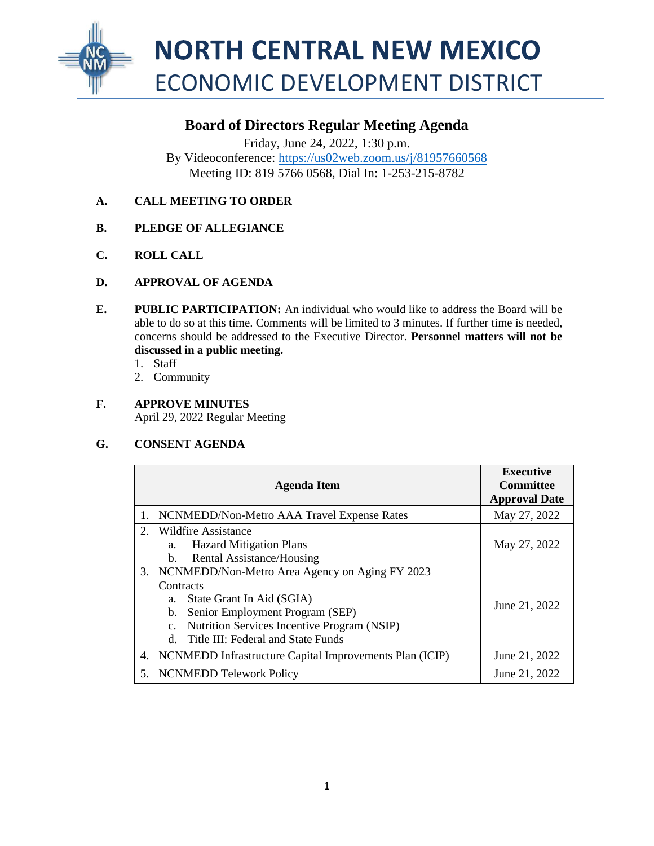

# **Board of Directors Regular Meeting Agenda**

Friday, June 24, 2022, 1:30 p.m. By Videoconference:<https://us02web.zoom.us/j/81957660568> Meeting ID: 819 5766 0568, Dial In: 1-253-215-8782

# **A. CALL MEETING TO ORDER**

- **B. PLEDGE OF ALLEGIANCE**
- **C. ROLL CALL**
- **D. APPROVAL OF AGENDA**
- **E. PUBLIC PARTICIPATION:** An individual who would like to address the Board will be able to do so at this time. Comments will be limited to 3 minutes. If further time is needed, concerns should be addressed to the Executive Director. **Personnel matters will not be discussed in a public meeting.** 
	- 1. Staff
	- 2. Community
- **F. APPROVE MINUTES**  April 29, 2022 Regular Meeting

# **G. CONSENT AGENDA**

|             | <b>Agenda Item</b>                                      | <b>Executive</b><br><b>Committee</b><br><b>Approval Date</b> |
|-------------|---------------------------------------------------------|--------------------------------------------------------------|
|             | NCNMEDD/Non-Metro AAA Travel Expense Rates              | May 27, 2022                                                 |
| $2^{\circ}$ | Wildfire Assistance                                     |                                                              |
|             | <b>Hazard Mitigation Plans</b><br>a.                    | May 27, 2022                                                 |
|             | Rental Assistance/Housing<br>b.                         |                                                              |
|             | 3. NCNMEDD/Non-Metro Area Agency on Aging FY 2023       | June 21, 2022                                                |
|             | Contracts                                               |                                                              |
|             | State Grant In Aid (SGIA)<br>a.                         |                                                              |
|             | Senior Employment Program (SEP)<br>b.                   |                                                              |
|             | Nutrition Services Incentive Program (NSIP)<br>c.       |                                                              |
|             | Title III: Federal and State Funds<br>d.                |                                                              |
| 4.          | NCNMEDD Infrastructure Capital Improvements Plan (ICIP) | June 21, 2022                                                |
| 5.          | <b>NCNMEDD Telework Policy</b>                          | June 21, 2022                                                |